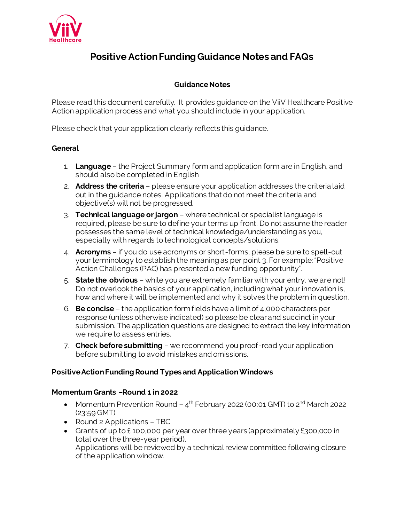

## **Positive Action Funding Guidance Notes and FAQs**

## **Guidance Notes**

Please read this document carefully. It provides guidance on the ViiV Healthcare Positive Action application process and what you should include in your application.

Please check that your application clearly reflects this guidance.

## **General**

- 1. **Language** the Project Summary form and application form are in English, and should also be completed in English
- 2. **Address the criteria** please ensure your application addresses the criteria laid out in the guidance notes. Applications that do not meet the criteria and objective(s) will not be progressed.
- 3. **Technical language or jargon** where technical or specialist language is required, please be sure to define your terms up front. Do not assume the reader possesses the same level of technical knowledge/understanding as you, especially with regards to technological concepts/solutions.
- 4. **Acronyms** if you do use acronyms or short-forms, please be sure to spell-out your terminology to establish the meaning as per point 3. For example: "Positive Action Challenges (PAC) has presented a new funding opportunity".
- 5. **State the obvious** while you are extremely familiar with your entry, we are not! Do not overlook the basics of your application, including what your innovation is, how and where it will be implemented and why it solves the problem in question.
- 6. **Be concise** the application form fields have a limit of 4,000 characters per response (unless otherwise indicated) so please be clear and succinct in your submission. The application questions are designed to extract the key information we require to assess entries.
- 7. **Check before submitting** we recommend you proof-read your application before submitting to avoid mistakes and omissions.

## **Positive Action Funding Round Types and Application Windows**

#### **Momentum Grants –Round 1 in 2022**

- Momentum Prevention Round  $-$  4<sup>th</sup> February 2022 (00:01 GMT) to 2<sup>nd</sup> March 2022 (23:59 GMT)
- Round 2 Applications TBC
- Grants of up to £100,000 per year over three years (approximately £300,000 in total over the three-year period). Applications will be reviewed by a technical review committee following closure of the application window.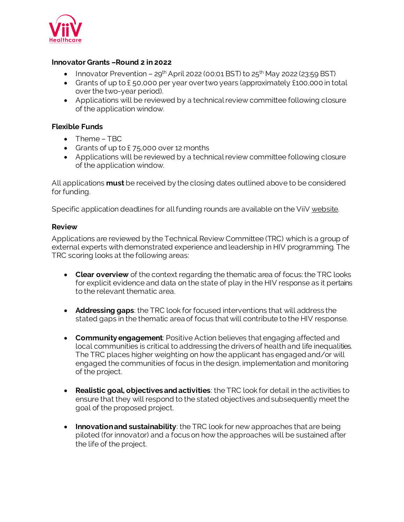

## **Innovator Grants –Round 2 in 2022**

- Innovator Prevention  $29^{th}$  April 2022 (00:01 BST) to  $25^{th}$  May 2022 (23:59 BST)
- Grants of up to £ 50,000 per year over two years (approximately £100,000 in total over the two-year period).
- Applications will be reviewed by a technical review committee following closure of the application window.

## **Flexible Funds**

- Theme TBC
- Grants of up to £75,000 over 12 months
- Applications will be reviewed by a technical review committee following closure of the application window.

All applications **must** be received by the closing dates outlined above to be considered for funding.

Specific application deadlines for all funding rounds are available on the Vii[V website](https://www.viivhealthcare.com/positiveaction).

#### **Review**

Applications are reviewed by the Technical Review Committee (TRC) which is a group of external experts with demonstrated experience and leadership in HIV programming. The TRC scoring looks at the following areas:

- **Clear overview** of the context regarding the thematic area of focus: the TRC looks for explicit evidence and data on the state of play in the HIV response as it pertains to the relevant thematic area.
- **Addressing gaps**: the TRC look for focused interventions that will address the stated gaps in the thematic area of focus that will contribute to the HIV response.
- **Community engagement**: Positive Action believes that engaging affected and local communities is critical to addressing the drivers of health and life inequalities. The TRC places higher weighting on how the applicant has engaged and/or will engaged the communities of focus in the design, implementation and monitoring of the project.
- **Realistic goal, objectives and activities**: the TRC look for detail in the activities to ensure that they will respond to the stated objectives and subsequently meet the goal of the proposed project.
- **Innovation and sustainability**: the TRC look for new approaches that are being piloted (for innovator) and a focus on how the approaches will be sustained after the life of the project.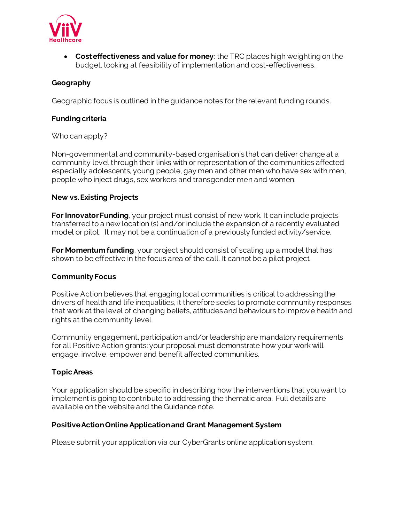

• **Cost effectiveness and value for money**: the TRC places high weighting on the budget, looking at feasibility of implementation and cost-effectiveness.

## **Geography**

Geographic focus is outlined in the guidance notes for the relevant funding rounds.

## **Funding criteria**

#### Who can apply?

Non-governmental and community-based organisation's that can deliver change at a community level through their links with or representation of the communities affected especially adolescents, young people, gay men and other men who have sex with men, people who inject drugs, sex workers and transgender men and women.

#### **New vs. Existing Projects**

**For Innovator Funding**, your project must consist of new work. It can include projects transferred to a new location (s) and/or include the expansion of a recently evaluated model or pilot. It may not be a continuation of a previously funded activity/service.

**For Momentum funding**, your project should consist of scaling up a model that has shown to be effective in the focus area of the call. It cannot be a pilot project.

#### **Community Focus**

Positive Action believes that engaging local communities is critical to addressing the drivers of health and life inequalities, it therefore seeks to promote community responses that work at the level of changing beliefs, attitudes and behaviours to improve health and rights at the community level.

Community engagement, participation and/or leadership are mandatory requirements for all Positive Action grants: your proposal must demonstrate how your work will engage, involve, empower and benefit affected communities.

#### **Topic Areas**

Your application should be specific in describing how the interventions that you want to implement is going to contribute to addressing the thematic area. Full details are available on the website and the Guidance note.

#### **Positive Action Online Application and Grant Management System**

Please submit your application via our CyberGrants online application system.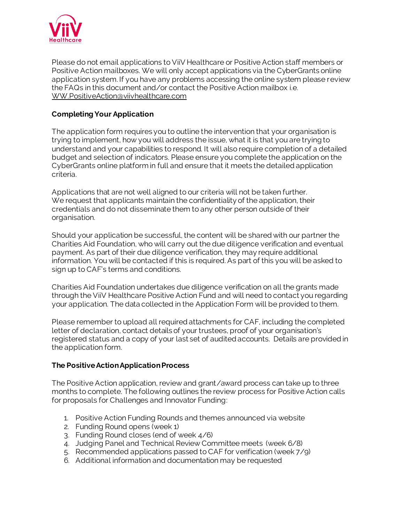

Please do not email applications to ViiV Healthcare or Positive Action staff members or Positive Action mailboxes. We will only accept applications via the CyberGrants online application system. If you have any problems accessing the online system please review the FAQs in this document and/or contact the Positive Action mailbox i.[e.](mailto:%20WW.PositiveAction@viivhealthcare.com)  [WW.PositiveAction@viivhealthcare.com](mailto:%20WW.PositiveAction@viivhealthcare.com)

## **Completing Your Application**

The application form requires you to outline the intervention that your organisation is trying to implement, how you will address the issue, what it is that you are trying to understand and your capabilities to respond. It will also require completion of a detailed budget and selection of indicators. Please ensure you complete the application on the CyberGrants online platform in full and ensure that it meets the detailed application criteria.

Applications that are not well aligned to our criteria will not be taken further. We request that applicants maintain the confidentiality of the application, their credentials and do not disseminate them to any other person outside of their organisation.

Should your application be successful, the content will be shared with our partner the Charities Aid Foundation, who will carry out the due diligence verification and eventual payment. As part of their due diligence verification, they may require additional information. You will be contacted if this is required. As part of this you will be asked to sign up to CAF's terms and conditions.

Charities Aid Foundation undertakes due diligence verification on all the grants made through the ViiV Healthcare Positive Action Fund and will need to contact you regarding your application. The data collected in the Application Form will be provided to them.

Please remember to upload all required attachments for CAF, including the completed letter of declaration, contact details of your trustees, proof of your organisation's registered status and a copy of your last set of audited accounts. Details are provided in the application form.

## **The Positive Action Application Process**

The Positive Action application, review and grant/award process can take up to three months to complete. The following outlines the review process for Positive Action calls for proposals for Challenges and Innovator Funding:

- 1. Positive Action Funding Rounds and themes announced via website
- 2. Funding Round opens (week 1)
- 3. Funding Round closes (end of week 4/6)
- 4. Judging Panel and Technical Review Committee meets (week 6/8)
- 5. Recommended applications passed to CAF for verification (week 7/9)
- 6. Additional information and documentation may be requested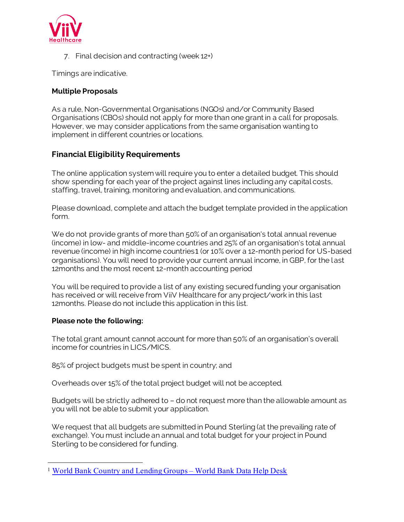

7. Final decision and contracting (week 12+)

Timings are indicative.

## **Multiple Proposals**

As a rule, Non-Governmental Organisations (NGOs) and/or Community Based Organisations (CBOs) should not apply for more than one grant in a call for proposals. However, we may consider applications from the same organisation wanting to implement in different countries or locations.

## **Financial Eligibility Requirements**

The online application system will require you to enter a detailed budget. This should show spending for each year of the project against lines including any capital costs, staffing, travel, training, monitoring and evaluation, and communications.

Please download, complete and attach the budget template provided in the application form.

We do not provide grants of more than 50% of an organisation's total annual revenue (income) in low- and middle-income countries and 25% of an organisation's total annual revenue (income) in high income countries1 (or 10% over a 12-month period for US-based organisations). You will need to provide your current annual income, in GBP, for the last 12months and the most recent 12-month accounting period

You will be required to provide a list of any existing secured funding your organisation has received or will receive from ViiV Healthcare for any project/work in this last 12months. Please do not include this application in this list.

#### **Please note the following:**

The total grant amount cannot account for more than 50% of an organisation's overall income for countries in LICS/MICS.

85% of project budgets must be spent in country; and

Overheads over 15% of the total project budget will not be accepted.

Budgets will be strictly adhered to – do not request more than the allowable amount as you will not be able to submit your application.

We request that all budgets are submitted in Pound Sterling (at the prevailing rate of exchange). You must include an annual and total budget for your project in Pound Sterling to be considered for funding.

<sup>&</sup>lt;sup>1</sup> [World Bank Country and Lending Groups](https://datahelpdesk.worldbank.org/knowledgebase/articles/906519-world-bank-country-and-lending-groups) – World Bank Data Help Desk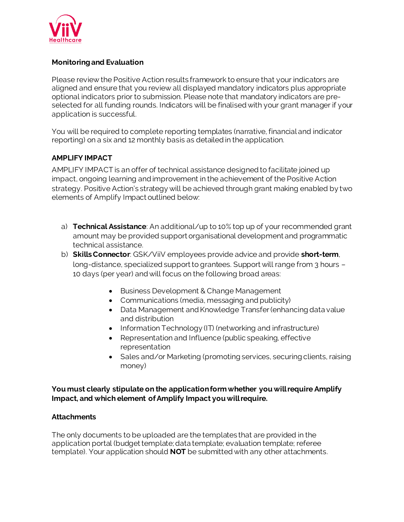

## **Monitoring and Evaluation**

Please review the Positive Action results framework to ensure that your indicators are aligned and ensure that you review all displayed mandatory indicators plus appropriate optional indicators prior to submission. Please note that mandatory indicators are preselected for all funding rounds. Indicators will be finalised with your grant manager if your application is successful.

You will be required to complete reporting templates (narrative, financial and indicator reporting) on a six and 12 monthly basis as detailed in the application.

## **AMPLIFY IMPACT**

AMPLIFY IMPACT is an offer of technical assistance designed to facilitate joined up impact, ongoing learning and improvement in the achievement of the Positive Action strategy. Positive Action's strategy will be achieved through grant making enabled by two elements of Amplify Impact outlined below:

- a) **Technical Assistance**: An additional/up to 10% top up of your recommended grant amount may be provided support organisational development and programmatic technical assistance.
- b) **Skills Connector**: GSK/ViiV employees provide advice and provide **short-term**, long-distance, specialized support to grantees. Support will range from 3 hours – 10 days (per year) and will focus on the following broad areas:
	- Business Development & Change Management
	- Communications (media, messaging and publicity)
	- Data Management and Knowledge Transfer (enhancing data value and distribution
	- Information Technology (IT) (networking and infrastructure)
	- Representation and Influence (public speaking, effective representation
	- Sales and/or Marketing (promoting services, securing clients, raising money)

**You must clearly stipulate on the application form whether you will require Amplify Impact, and which element of Amplify Impact you will require.** 

#### **Attachments**

The only documents to be uploaded are the templates that are provided in the application portal (budget template; data template; evaluation template; referee template). Your application should **NOT** be submitted with any other attachments.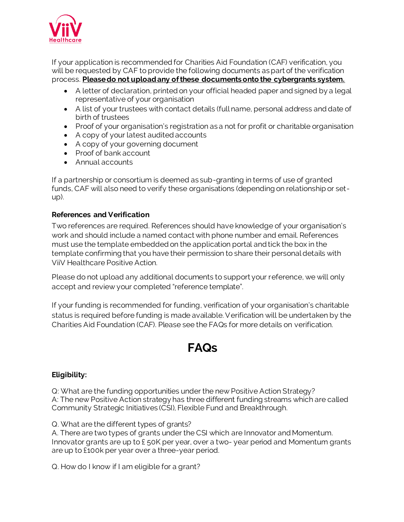

If your application is recommended for Charities Aid Foundation (CAF) verification, you will be requested by CAF to provide the following documents as part of the verification process. **Please do not upload any of these documents onto the cybergrants system.** 

- A letter of declaration, printed on your official headed paper and signed by a legal representative of your organisation
- A list of your trustees with contact details (full name, personal address and date of birth of trustees
- Proof of your organisation's registration as a not for profit or charitable organisation
- A copy of your latest audited accounts
- A copy of your governing document
- Proof of bank account
- Annual accounts

If a partnership or consortium is deemed as sub-granting in terms of use of granted funds, CAF will also need to verify these organisations (depending on relationship or setup).

## **References and Verification**

Two references are required. References should have knowledge of your organisation's work and should include a named contact with phone number and email. References must use the template embedded on the application portal and tick the box in the template confirming that you have their permission to share their personal details with ViiV Healthcare Positive Action.

Please do not upload any additional documents to support your reference, we will only accept and review your completed "reference template".

If your funding is recommended for funding, verification of your organisation's charitable status is required before funding is made available. Verification will be undertaken by the Charities Aid Foundation (CAF). Please see the FAQs for more details on verification.

# **FAQs**

## **Eligibility:**

Q: What are the funding opportunities under the new Positive Action Strategy? A: The new Positive Action strategy has three different funding streams which are called Community Strategic Initiatives (CSI), Flexible Fund and Breakthrough.

Q. What are the different types of grants?

A. There are two types of grants under the CSI which are Innovator and Momentum. Innovator grants are up to £ 50K per year, over a two- year period and Momentum grants are up to £100k per year over a three-year period.

Q. How do I know if I am eligible for a grant?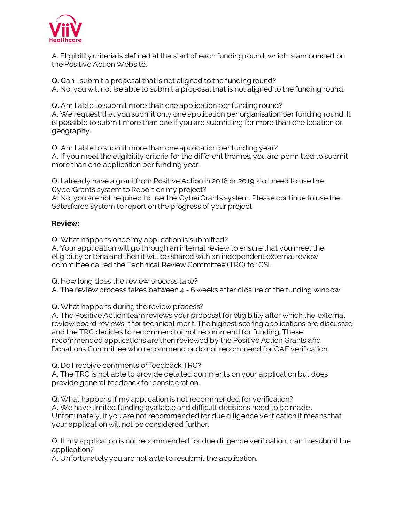

A. Eligibility criteria is defined at the start of each funding round, which is announced on the Positive Action Website.

Q. Can I submit a proposal that is not aligned to the funding round? A. No, you will not be able to submit a proposal that is not aligned to the funding round.

Q. Am I able to submit more than one application per funding round? A. We request that you submit only one application per organisation per funding round. It is possible to submit more than one if you are submitting for more than one location or geography.

Q. Am I able to submit more than one application per funding year? A. If you meet the eligibility criteria for the different themes, you are permitted to submit more than one application per funding year.

Q: I already have a grant from Positive Action in 2018 or 2019, do I need to use the CyberGrants system to Report on my project?

A: No, you are not required to use the CyberGrants system. Please continue to use the Salesforce system to report on the progress of your project.

## **Review:**

Q. What happens once my application is submitted?

A. Your application will go through an internal review to ensure that you meet the eligibility criteria and then it will be shared with an independent external review committee called the Technical Review Committee (TRC) for CSI.

Q. How long does the review process take?

A. The review process takes between 4 - 6 weeks after closure of the funding window.

Q. What happens during the review process?

A. The Positive Action team reviews your proposal for eligibility after which the external review board reviews it for technical merit. The highest scoring applications are discussed and the TRC decides to recommend or not recommend for funding. These recommended applications are then reviewed by the Positive Action Grants and Donations Committee who recommend or do not recommend for CAF verification.

Q. Do I receive comments or feedback TRC?

A. The TRC is not able to provide detailed comments on your application but does provide general feedback for consideration.

Q: What happens if my application is not recommended for verification? A. We have limited funding available and difficult decisions need to be made. Unfortunately, if you are not recommended for due diligence verification it means that your application will not be considered further.

Q. If my application is not recommended for due diligence verification, can I resubmit the application?

A. Unfortunately you are not able to resubmit the application.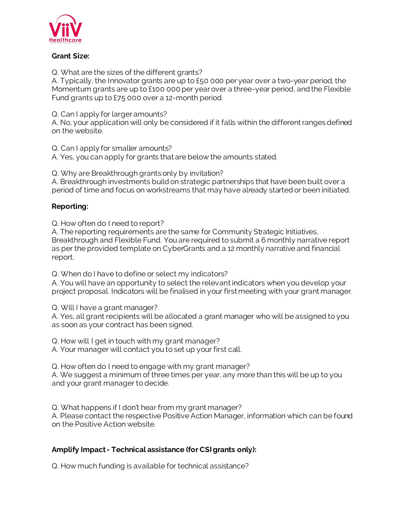

## **Grant Size:**

Q. What are the sizes of the different grants?

A. Typically, the Innovator grants are up to £50 000 per year over a two-year period, the Momentum grants are up to £100 000 per year over a three-year period, and the Flexible Fund grants up to £75 000 over a 12-month period.

Q. Can I apply for larger amounts?

A. No, your application will only be considered if it falls within the different ranges defined on the website.

Q. Can I apply for smaller amounts? A. Yes, you can apply for grants that are below the amounts stated.

Q. Why are Breakthrough grants only by invitation?

A. Breakthrough investments build on strategic partnerships that have been built over a period of time and focus on workstreams that may have already started or been initiated.

## **Reporting:**

Q. How often do I need to report?

A. The reporting requirements are the same for Community Strategic Initiatives, Breakthrough and Flexible Fund. You are required to submit a 6 monthly narrative report as per the provided template on CyberGrants and a 12 monthly narrative and financial report.

Q. When do I have to define or select my indicators?

A. You will have an opportunity to select the relevant indicators when you develop your project proposal. Indicators will be finalised in your first meeting with your grant manager.

Q. Will I have a grant manager?

A. Yes, all grant recipients will be allocated a grant manager who will be assigned to you as soon as your contract has been signed.

Q. How will I get in touch with my grant manager?

A. Your manager will contact you to set up your first call.

Q. How often do I need to engage with my grant manager?

A. We suggest a minimum of three times per year, any more than this will be up to you and your grant manager to decide.

Q. What happens if I don't hear from my grant manager? A. Please contact the respective Positive Action Manager, information which can be found on the Positive Action website.

## **Amplify Impact - Technical assistance (for CSI grants only):**

Q. How much funding is available for technical assistance?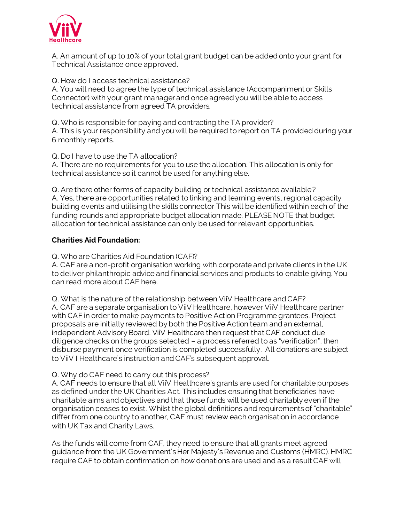

A. An amount of up to 10% of your total grant budget can be added onto your grant for Technical Assistance once approved.

Q. How do I access technical assistance? A. You will need to agree the type of technical assistance (Accompaniment or Skills

Connector) with your grant manager and once agreed you will be able to access technical assistance from agreed TA providers.

Q. Who is responsible for paying and contracting the TA provider?

A. This is your responsibility and you will be required to report on TA provided during your 6 monthly reports.

Q. Do I have to use the TA allocation?

A. There are no requirements for you to use the allocation. This allocation is only for technical assistance so it cannot be used for anything else.

Q. Are there other forms of capacity building or technical assistance available? A. Yes, there are opportunities related to linking and learning events, regional capacity building events and utilising the skills connector This will be identified within each of the funding rounds and appropriate budget allocation made. PLEASE NOTE that budget allocation for technical assistance can only be used for relevant opportunities.

## **Charities Aid Foundation:**

Q. Who are Charities Aid Foundation (CAF)?

A. CAF are a non-profit organisation working with corporate and private clients in the UK to deliver philanthropic advice and financial services and products to enable giving. You can read more about CAF [here](https://www.cafonline.org/about-us).

Q. What is the nature of the relationship between ViiV Healthcare and CAF? A. CAF are a separate organisation to ViiV Healthcare, however ViiV Healthcare partner with CAF in order to make payments to Positive Action Programme grantees. Project proposals are initially reviewed by both the Positive Action team and an external, independent Advisory Board. ViiV Healthcare then request that CAF conduct due diligence checks on the groups selected – a process referred to as "verification", then disburse payment once verification is completed successfully. All donations are subject to ViiV I Healthcare's instruction and CAF's subsequent approval.

## Q. Why do CAF need to carry out this process?

A. CAF needs to ensure that all ViiV Healthcare's grants are used for charitable purposes as defined under the [UK Charities Act](http://www.legislation.gov.uk/ukpga/2011/25/section/3/enacted). This includes ensuring that beneficiaries have charitable aims and objectives and that those funds will be used charitably even if the organisation ceases to exist. Whilst the global definitions and requirements of "charitable" differ from one country to another, CAF must review each organisation in accordance with UK Tax and Charity Laws.

As the funds will come from CAF, they need to ensure that all grants meet agreed guidance from the UK Government's Her Majesty's Revenue and Customs (HMRC). HMRC require CAF to obtain confirmation on how donations are used and as a result CAF will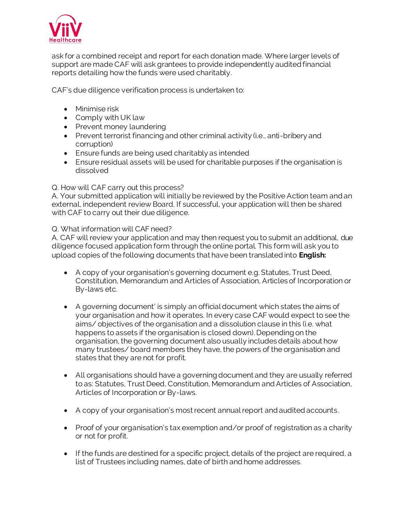

ask for a combined receipt and report for each donation made. Where larger levels of support are made CAF will ask grantees to provide independently audited financial reports detailing how the funds were used charitably.

CAF's due diligence verification process is undertaken to:

- Minimise risk
- Comply with UK law
- Prevent money laundering
- Prevent terrorist financing and other criminal activity (i.e., anti-bribery and corruption)
- Ensure funds are being used charitably as intended
- Ensure residual assets will be used for charitable purposes if the organisation is dissolved

#### Q. How will CAF carry out this process?

A. Your submitted application will initially be reviewed by the Positive Action team and an external, independent review Board. If successful, your application will then be shared with CAF to carry out their due diligence.

Q. What information will CAF need?

A. CAF will review your application and may then request you to submit an additional, due diligence focused application form through the online portal. This form will ask you to upload copies of the following documents that have been translated into **English:**

- A copy of your organisation's governing document e.g. Statutes, Trust Deed, Constitution, Memorandum and Articles of Association, Articles of Incorporation or By-laws etc.
- A governing document' is simply an official document which states the aims of your organisation and how it operates. In every case CAF would expect to see the aims/ objectives of the organisation and a dissolution clause in this (i.e. what happens to assets if the organisation is closed down). Depending on the organisation, the governing document also usually includes details about how many trustees/ board members they have, the powers of the organisation and states that they are not for profit.
- All organisations should have a governing document and they are usually referred to as: Statutes, Trust Deed, Constitution, Memorandum and Articles of Association, Articles of Incorporation or By-laws.
- A copy of your organisation's most recent annual report and audited accounts.
- Proof of your organisation's tax exemption and/or proof of registration as a charity or not for profit.
- If the funds are destined for a specific project, details of the project are required, a list of Trustees including names, date of birth and home addresses.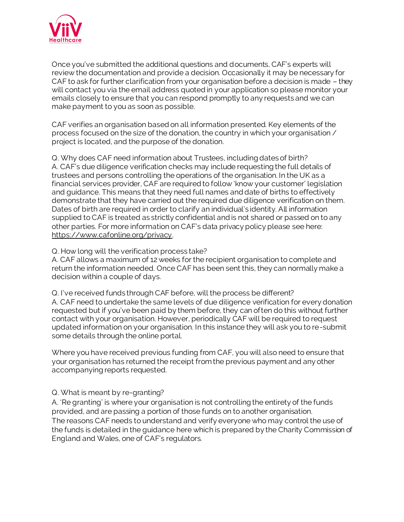

Once you've submitted the additional questions and documents, CAF's experts will review the documentation and provide a decision. Occasionally it may be necessary for CAF to ask for further clarification from your organisation before a decision is made – they will contact you via the email address quoted in your application so please monitor your emails closely to ensure that you can respond promptly to any requests and we can make payment to you as soon as possible.

CAF verifies an organisation based on all information presented. Key elements of the process focused on the size of the donation, the country in which your organisation / project is located, and the purpose of the donation.

Q. Why does CAF need information about Trustees, including dates of birth? A. CAF's due diligence verification checks may include requesting the full details of trustees and persons controlling the operations of the organisation. In the UK as a financial services provider, CAF are required to follow 'know your customer' legislation and guidance. This means that they need full names and date of births to effectively demonstrate that they have carried out the required due diligence verification on them. Dates of birth are required in order to clarify an individual's identity. All information supplied to CAF is treated as strictly confidential and is not shared or passed on to any other parties. For more information on CAF's data privacy policy please see here: <https://www.cafonline.org/privacy>.

#### Q. How long will the verification process take?

A. CAF allows a maximum of 12 weeks for the recipient organisation to complete and return the information needed. Once CAF has been sent this, they can normally make a decision within a couple of days.

Q. I've received funds through CAF before, will the process be different? A. CAF need to undertake the same levels of due diligence verification for every donation requested but if you've been paid by them before, they can often do this without further contact with your organisation. However, periodically CAF will be required to request updated information on your organisation. In this instance they will ask you to re-submit some details through the online portal.

Where you have received previous funding from CAF, you will also need to ensure that your organisation has returned the receipt from the previous payment and any other accompanying reports requested.

## Q. What is meant by re-granting?

A. 'Re granting' is where your organisation is not controlling the entirety of the funds provided, and are passing a portion of those funds on to another organisation. The reasons CAF needs to understand and verify everyone who may control the use of the funds is detailed in the guidance here which is prepared by the Charity Commission of England and Wales, one of CAF's regulators.